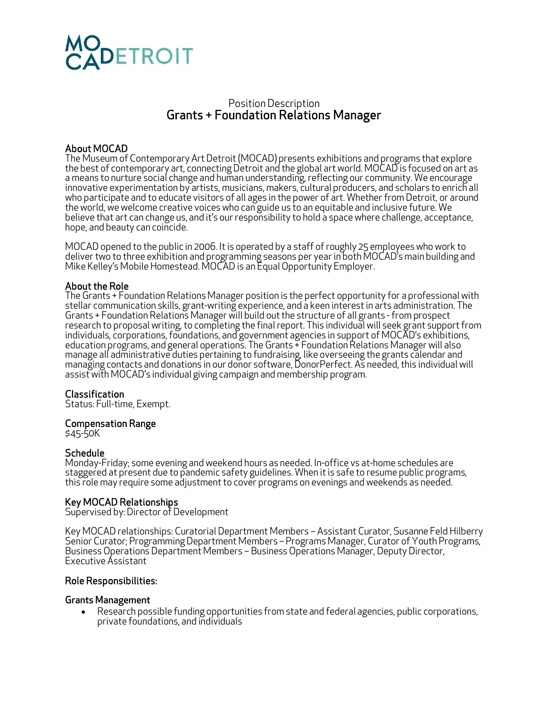

# Position Description Grants + Foundation Relations Manager

## About MOCAD

The Museum of Contemporary Art Detroit (MOCAD) presents exhibitions and programs that explore the best of contemporary art, connecting Detroit and the global art world. MOCAD is focused on art as a means to nurture social change and human understanding, reflecting our community. We encourage innovative experimentation by artists, musicians, makers, cultural producers, and scholars to enrich all who participate and to educate visitors of all ages in the power of art. Whether from Detroit, or around the world, we welcome creative voices who can guide us to an equitable and inclusive future. We believe that art can change us, and it's our responsibility to hold a space where challenge, acceptance, hope, and beauty can coincide.

MOCAD opened to the public in 2006. It is operated by a staff of roughly 25 employees who work to deliver two to three exhibition and programming seasons per year in both MOCAD's main building and Mike Kelley's Mobile Homestead. MOCAD is an Equal Opportunity Employer.

#### About the Role

The Grants + Foundation Relations Manager position is the perfect opportunity for a professional with stellar communication skills, grant-writing experience, and a keen interest in arts administration. The Grants + Foundation Relations Manager will build out the structure of all grants - from prospect<br>research to proposal writing, to completing the final report. This individual will seek grant support from individuals, corporations, foundations, and government agencies in support of MOCAD's exhibitions, education programs, and general operations. The Grants + Foundation Relations Manager will also manage all administrative duties pertaining to fundraising, like overseeing the grants calendar and managing contacts and donations in our donor software, DonorPerfect. As needed, this individual will assist with MOCAD's individual giving campaign and membership program.

#### Classification

Status: Full-time, Exempt.

#### Compensation Range

\$45-50K

#### Schedule

Monday-Friday; some evening and weekend hours as needed. In-office vs at-home schedules are staggered at present due to pandemic safety guidelines. When it is safe to resume public programs, this role may require some adjustment to cover programs on evenings and weekends as needed.

#### Key MOCAD Relationships

Supervised by: Director of Development

Key MOCAD relationships: Curatorial Department Members – Assistant Curator, Susanne Feld Hilberry Senior Curator; Programming Department Members – Programs Manager, Curator of Youth Programs, Business Operations Department Members – Business Operations Manager, Deputy Director, Executive Assistant

#### Role Responsibilities:

#### Grants Management

• Research possible funding opportunities from state and federal agencies, public corporations, private foundations, and individuals